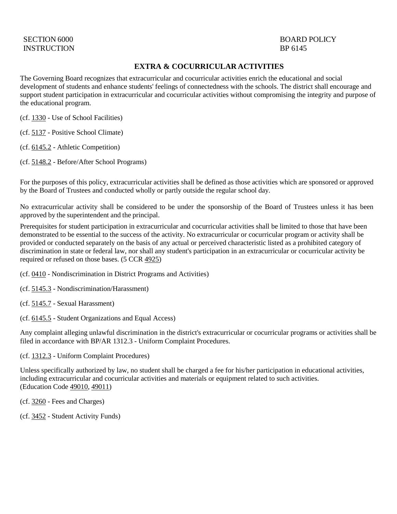# INSTRUCTION BP 6145

# SECTION 6000 BOARD POLICY

## **EXTRA & COCURRICULAR ACTIVITIES**

The Governing Board recognizes that extracurricular and cocurricular activities enrich the educational and social development of students and enhance students' feelings of connectedness with the schools. The district shall encourage and support student participation in extracurricular and cocurricular activities without compromising the integrity and purpose of the educational program.

(cf. [1330](http://gamutonline.net/displayPolicy/936009/6) - Use of School Facilities)

(cf. [5137](http://gamutonline.net/displayPolicy/170904/6) - Positive School Climate)

(cf. [6145.2](http://gamutonline.net/displayPolicy/1075010/6) - Athletic Competition)

(cf. [5148.2](http://gamutonline.net/displayPolicy/1002212/6) - Before/After School Programs)

For the purposes of this policy, extracurricular activities shall be defined as those activities which are sponsored or approved by the Board of Trustees and conducted wholly or partly outside the regular school day.

No extracurricular activity shall be considered to be under the sponsorship of the Board of Trustees unless it has been approved by the superintendent and the principal.

Prerequisites for student participation in extracurricular and cocurricular activities shall be limited to those that have been demonstrated to be essential to the success of the activity. No extracurricular or cocurricular program or activity shall be provided or conducted separately on the basis of any actual or perceived characteristic listed as a prohibited category of discrimination in state or federal law, nor shall any student's participation in an extracurricular or cocurricular activity be required or refused on those bases. (5 CCR [4925\)](http://gamutonline.net/displayPolicy/244917/6)

(cf. [0410](http://gamutonline.net/displayPolicy/890898/6) - Nondiscrimination in District Programs and Activities)

(cf. [5145.3](http://gamutonline.net/displayPolicy/1056960/6) - Nondiscrimination/Harassment)

(cf. [5145.7](http://gamutonline.net/displayPolicy/1056962/6) - Sexual Harassment)

(cf. [6145.5](http://gamutonline.net/displayPolicy/274291/6) - Student Organizations and Equal Access)

Any complaint alleging unlawful discrimination in the district's extracurricular or cocurricular programs or activities shall be filed in accordance with BP/AR 1312.3 - Uniform Complaint Procedures.

(cf. [1312.3](http://gamutonline.net/displayPolicy/1074993/6) - Uniform Complaint Procedures)

Unless specifically authorized by law, no student shall be charged a fee for his/her participation in educational activities, including extracurricular and cocurricular activities and materials or equipment related to such activities. (Education Code [49010,](http://gamutonline.net/displayPolicy/781183/6) [49011\)](http://gamutonline.net/displayPolicy/781184/6)

(cf. [3260](http://gamutonline.net/displayPolicy/909474/6) - Fees and Charges)

(cf. [3452](http://gamutonline.net/displayPolicy/170689/6) - Student Activity Funds)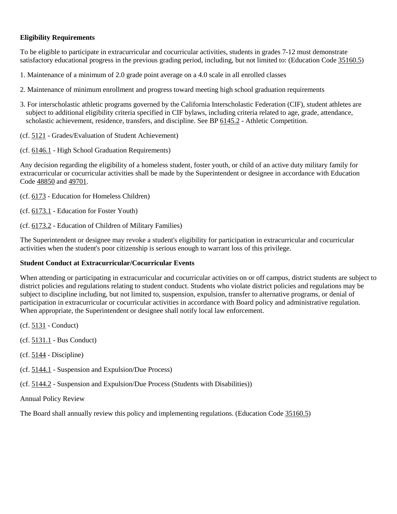## **Eligibility Requirements**

To be eligible to participate in extracurricular and cocurricular activities, students in grades 7-12 must demonstrate satisfactory educational progress in the previous grading period, including, but not limited to: (Education Code [35160.5\)](http://gamutonline.net/displayPolicy/133166/6)

- 1. Maintenance of a minimum of 2.0 grade point average on a 4.0 scale in all enrolled classes
- 2. Maintenance of minimum enrollment and progress toward meeting high school graduation requirements
- 3. For interscholastic athletic programs governed by the California Interscholastic Federation (CIF), student athletes are subject to additional eligibility criteria specified in CIF bylaws, including criteria related to age, grade, attendance, scholastic achievement, residence, transfers, and discipline. See BP [6145.2](http://gamutonline.net/displayPolicy/1075010/6) - Athletic Competition.
- (cf. [5121](http://gamutonline.net/displayPolicy/1053072/6) Grades/Evaluation of Student Achievement)
- (cf. [6146.1](http://gamutonline.net/displayPolicy/352667/6) High School Graduation Requirements)

Any decision regarding the eligibility of a homeless student, foster youth, or child of an active duty military family for extracurricular or cocurricular activities shall be made by the Superintendent or designee in accordance with Education Code [48850](http://gamutonline.net/displayPolicy/137886/6) and [49701.](http://gamutonline.net/displayPolicy/600235/6)

(cf. [6173](http://gamutonline.net/displayPolicy/274293/6) - Education for Homeless Children)

- (cf. [6173.1](http://gamutonline.net/displayPolicy/324915/6) Education for Foster Youth)
- (cf. [6173.2](http://gamutonline.net/displayPolicy/599415/6) Education of Children of Military Families)

The Superintendent or designee may revoke a student's eligibility for participation in extracurricular and cocurricular activities when the student's poor citizenship is serious enough to warrant loss of this privilege.

#### **Student Conduct at Extracurricular/Cocurricular Events**

When attending or participating in extracurricular and cocurricular activities on or off campus, district students are subject to district policies and regulations relating to student conduct. Students who violate district policies and regulations may be subject to discipline including, but not limited to, suspension, expulsion, transfer to alternative programs, or denial of participation in extracurricular or cocurricular activities in accordance with Board policy and administrative regulation. When appropriate, the Superintendent or designee shall notify local law enforcement.

- (cf. [5131](http://gamutonline.net/displayPolicy/931147/6) Conduct)
- (cf. [5131.1](http://gamutonline.net/displayPolicy/170885/6) Bus Conduct)
- $(cf. 5144 Discipline)$  $(cf. 5144 Discipline)$  $(cf. 5144 Discipline)$
- (cf. [5144.1](http://gamutonline.net/displayPolicy/909488/6) Suspension and Expulsion/Due Process)
- (cf. [5144.2](http://gamutonline.net/displayPolicy/288773/6) Suspension and Expulsion/Due Process (Students with Disabilities))

Annual Policy Review

The Board shall annually review this policy and implementing regulations. (Education Code [35160.5\)](http://gamutonline.net/displayPolicy/133166/6)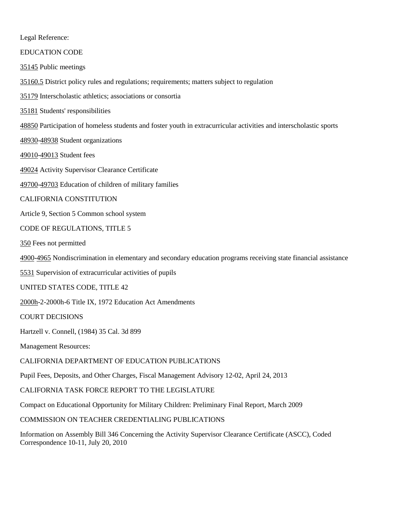Legal Reference:

EDUCATION CODE

[35145](http://gamutonline.net/displayPolicy/131392/6) Public meetings

[35160.5](http://gamutonline.net/displayPolicy/133166/6) District policy rules and regulations; requirements; matters subject to regulation

[35179](http://gamutonline.net/displayPolicy/226509/6) Interscholastic athletics; associations or consortia

[35181](http://gamutonline.net/displayPolicy/131415/6) Students' responsibilities

[48850](http://gamutonline.net/displayPolicy/137886/6) Participation of homeless students and foster youth in extracurricular activities and interscholastic sports

[48930-](http://gamutonline.net/displayPolicy/132256/6)[48938](http://gamutonline.net/displayPolicy/132262/6) Student organizations

[49010-](http://gamutonline.net/displayPolicy/781183/6)[49013](http://gamutonline.net/displayPolicy/781186/6) Student fees

[49024](http://gamutonline.net/displayPolicy/600918/6) Activity Supervisor Clearance Certificate

[49700-](http://gamutonline.net/displayPolicy/600215/6)[49703](http://gamutonline.net/displayPolicy/600218/6) Education of children of military families

#### CALIFORNIA CONSTITUTION

Article 9, Section 5 Common school system

CODE OF REGULATIONS, TITLE 5

[350](http://gamutonline.net/displayPolicy/186808/6) Fees not permitted

[4900](http://gamutonline.net/displayPolicy/187041/6)[-4965](http://gamutonline.net/displayPolicy/244922/6) Nondiscrimination in elementary and secondary education programs receiving state financial assistance

[5531](http://gamutonline.net/displayPolicy/187063/6) Supervision of extracurricular activities of pupils

UNITED STATES CODE, TITLE 42

[2000h-](http://gamutonline.net/displayPolicy/191961/6)2-2000h-6 Title IX, 1972 Education Act Amendments

COURT DECISIONS

Hartzell v. Connell, (1984) 35 Cal. 3d 899

Management Resources:

CALIFORNIA DEPARTMENT OF EDUCATION PUBLICATIONS

Pupil Fees, Deposits, and Other Charges, Fiscal Management Advisory 12-02, April 24, 2013

CALIFORNIA TASK FORCE REPORT TO THE LEGISLATURE

Compact on Educational Opportunity for Military Children: Preliminary Final Report, March 2009

COMMISSION ON TEACHER CREDENTIALING PUBLICATIONS

Information on Assembly Bill 346 Concerning the Activity Supervisor Clearance Certificate (ASCC), Coded Correspondence 10-11, July 20, 2010